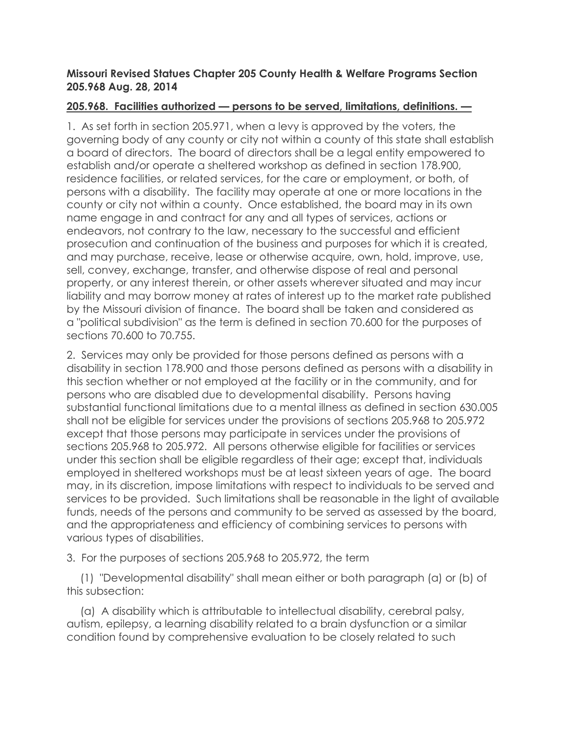#### **Missouri Revised Statues Chapter 205 County Health & Welfare Programs Section 205.968 Aug. 28, 2014**

### **205.968. Facilities authorized — persons to be served, limitations, definitions. —**

1. As set forth in section 205.971, when a levy is approved by the voters, the governing body of any county or city not within a county of this state shall establish a board of directors. The board of directors shall be a legal entity empowered to establish and/or operate a sheltered workshop as defined in section 178.900, residence facilities, or related services, for the care or employment, or both, of persons with a disability. The facility may operate at one or more locations in the county or city not within a county. Once established, the board may in its own name engage in and contract for any and all types of services, actions or endeavors, not contrary to the law, necessary to the successful and efficient prosecution and continuation of the business and purposes for which it is created, and may purchase, receive, lease or otherwise acquire, own, hold, improve, use, sell, convey, exchange, transfer, and otherwise dispose of real and personal property, or any interest therein, or other assets wherever situated and may incur liability and may borrow money at rates of interest up to the market rate published by the Missouri division of finance. The board shall be taken and considered as a "political subdivision" as the term is defined in section 70.600 for the purposes of sections 70.600 to 70.755.

2. Services may only be provided for those persons defined as persons with a disability in section 178.900 and those persons defined as persons with a disability in this section whether or not employed at the facility or in the community, and for persons who are disabled due to developmental disability. Persons having substantial functional limitations due to a mental illness as defined in section 630.005 shall not be eligible for services under the provisions of sections 205.968 to 205.972 except that those persons may participate in services under the provisions of sections 205.968 to 205.972. All persons otherwise eligible for facilities or services under this section shall be eligible regardless of their age; except that, individuals employed in sheltered workshops must be at least sixteen years of age. The board may, in its discretion, impose limitations with respect to individuals to be served and services to be provided. Such limitations shall be reasonable in the light of available funds, needs of the persons and community to be served as assessed by the board, and the appropriateness and efficiency of combining services to persons with various types of disabilities.

3. For the purposes of sections 205.968 to 205.972, the term

(1) "Developmental disability" shall mean either or both paragraph (a) or (b) of this subsection:

(a) A disability which is attributable to intellectual disability, cerebral palsy, autism, epilepsy, a learning disability related to a brain dysfunction or a similar condition found by comprehensive evaluation to be closely related to such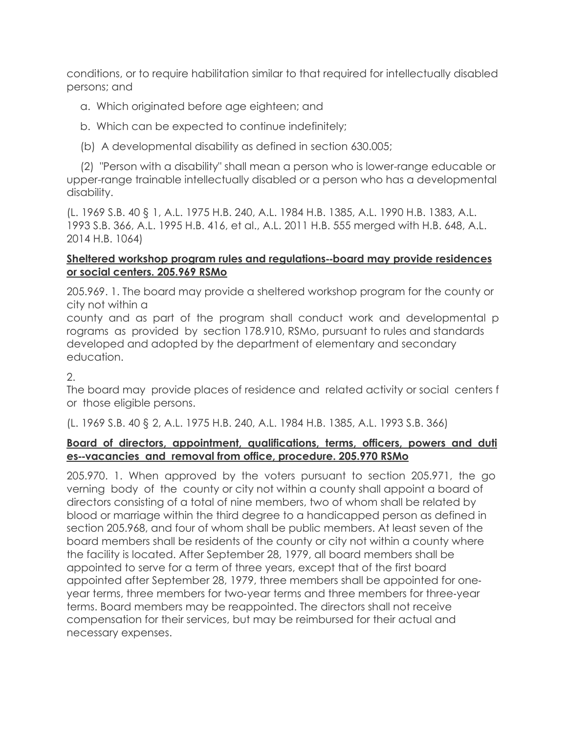conditions, or to require habilitation similar to that required for intellectually disabled persons; and

# a. Which originated before age eighteen; and

b. Which can be expected to continue indefinitely;

(b) A developmental disability as defined in section 630.005;

(2) "Person with a disability" shall mean a person who is lower-range educable or upper-range trainable intellectually disabled or a person who has a developmental disability.

(L. 1969 S.B. 40 § 1, A.L. 1975 H.B. 240, A.L. 1984 H.B. 1385, A.L. 1990 H.B. 1383, A.L. 1993 S.B. 366, A.L. 1995 H.B. 416, et al., A.L. 2011 H.B. 555 merged with H.B. 648, A.L. 2014 H.B. 1064)

# **Sheltered workshop program rules and regulations**--**board may provide residences or social centers. 205.969 RSMo**

205.969. 1. The board may provide a sheltered workshop program for the county or city not within a

county and as part of the program shall conduct work and developmental p rograms as provided by section 178.910, RSMo, pursuant to rules and standards developed and adopted by the department of elementary and secondary education.

 $2<sub>1</sub>$ 

The board may provide places of residence and related activity or social centers f or those eligible persons.

(L. 1969 S.B. 40 § 2, A.L. 1975 H.B. 240, A.L. 1984 H.B. 1385, A.L. 1993 S.B. 366)

### **Board of directors, appointment, qualifications, terms, officers, powers and duti es**--**vacancies and removal from office, procedure. 205.970 RSMo**

205.970. 1. When approved by the voters pursuant to section 205.971, the go verning body of the county or city not within a county shall appoint a board of directors consisting of a total of nine members, two of whom shall be related by blood or marriage within the third degree to a handicapped person as defined in section 205.968, and four of whom shall be public members. At least seven of the board members shall be residents of the county or city not within a county where the facility is located. After September 28, 1979, all board members shall be appointed to serve for a term of three years, except that of the first board appointed after September 28, 1979, three members shall be appointed for oneyear terms, three members for two-year terms and three members for three-year terms. Board members may be reappointed. The directors shall not receive compensation for their services, but may be reimbursed for their actual and necessary expenses.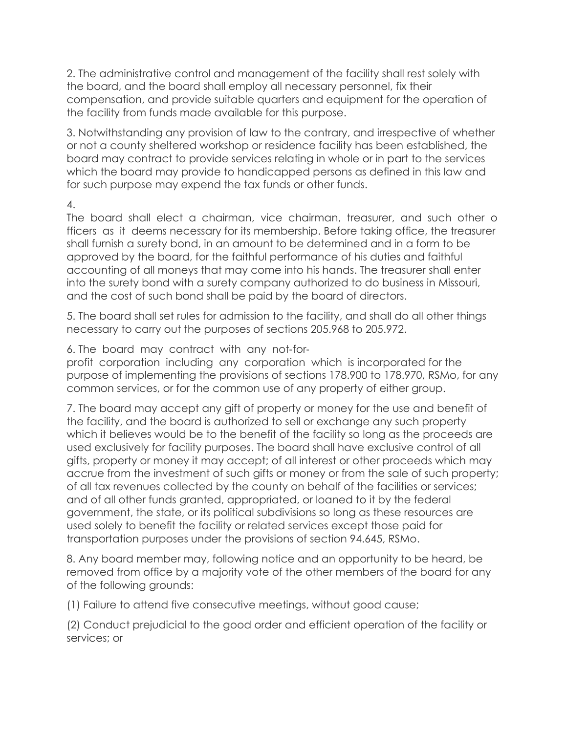2. The administrative control and management of the facility shall rest solely with the board, and the board shall employ all necessary personnel, fix their compensation, and provide suitable quarters and equipment for the operation of the facility from funds made available for this purpose.

3. Notwithstanding any provision of law to the contrary, and irrespective of whether or not a county sheltered workshop or residence facility has been established, the board may contract to provide services relating in whole or in part to the services which the board may provide to handicapped persons as defined in this law and for such purpose may expend the tax funds or other funds.

4.

The board shall elect a chairman, vice chairman, treasurer, and such other o fficers as it deems necessary for its membership. Before taking office, the treasurer shall furnish a surety bond, in an amount to be determined and in a form to be approved by the board, for the faithful performance of his duties and faithful accounting of all moneys that may come into his hands. The treasurer shall enter into the surety bond with a surety company authorized to do business in Missouri, and the cost of such bond shall be paid by the board of directors.

5. The board shall set rules for admission to the facility, and shall do all other things necessary to carry out the purposes of sections 205.968 to 205.972.

6. The board may contract with any not-for-

profit corporation including any corporation which is incorporated for the purpose of implementing the provisions of sections 178.900 to 178.970, RSMo, for any common services, or for the common use of any property of either group.

7. The board may accept any gift of property or money for the use and benefit of the facility, and the board is authorized to sell or exchange any such property which it believes would be to the benefit of the facility so long as the proceeds are used exclusively for facility purposes. The board shall have exclusive control of all gifts, property or money it may accept; of all interest or other proceeds which may accrue from the investment of such gifts or money or from the sale of such property; of all tax revenues collected by the county on behalf of the facilities or services; and of all other funds granted, appropriated, or loaned to it by the federal government, the state, or its political subdivisions so long as these resources are used solely to benefit the facility or related services except those paid for transportation purposes under the provisions of section 94.645, RSMo.

8. Any board member may, following notice and an opportunity to be heard, be removed from office by a majority vote of the other members of the board for any of the following grounds:

(1) Failure to attend five consecutive meetings, without good cause;

(2) Conduct prejudicial to the good order and efficient operation of the facility or services; or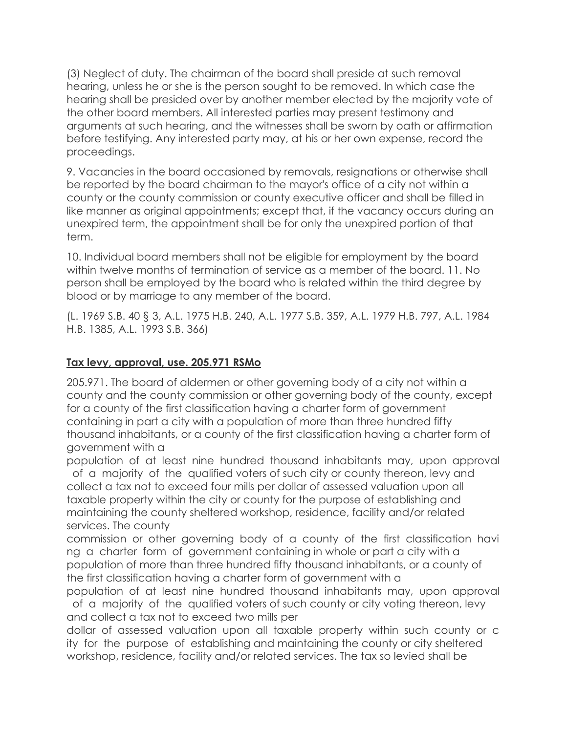(3) Neglect of duty. The chairman of the board shall preside at such removal hearing, unless he or she is the person sought to be removed. In which case the hearing shall be presided over by another member elected by the majority vote of the other board members. All interested parties may present testimony and arguments at such hearing, and the witnesses shall be sworn by oath or affirmation before testifying. Any interested party may, at his or her own expense, record the proceedings.

9. Vacancies in the board occasioned by removals, resignations or otherwise shall be reported by the board chairman to the mayor's office of a city not within a county or the county commission or county executive officer and shall be filled in like manner as original appointments; except that, if the vacancy occurs during an unexpired term, the appointment shall be for only the unexpired portion of that term.

10. Individual board members shall not be eligible for employment by the board within twelve months of termination of service as a member of the board. 11. No person shall be employed by the board who is related within the third degree by blood or by marriage to any member of the board.

(L. 1969 S.B. 40 § 3, A.L. 1975 H.B. 240, A.L. 1977 S.B. 359, A.L. 1979 H.B. 797, A.L. 1984 H.B. 1385, A.L. 1993 S.B. 366)

### **Tax levy, approval, use. 205.971 RSMo**

205.971. The board of aldermen or other governing body of a city not within a county and the county commission or other governing body of the county, except for a county of the first classification having a charter form of government containing in part a city with a population of more than three hundred fifty thousand inhabitants, or a county of the first classification having a charter form of government with a

population of at least nine hundred thousand inhabitants may, upon approval of a majority of the qualified voters of such city or county thereon, levy and collect a tax not to exceed four mills per dollar of assessed valuation upon all taxable property within the city or county for the purpose of establishing and maintaining the county sheltered workshop, residence, facility and/or related services. The county

commission or other governing body of a county of the first classification havi ng a charter form of government containing in whole or part a city with a population of more than three hundred fifty thousand inhabitants, or a county of the first classification having a charter form of government with a

population of at least nine hundred thousand inhabitants may, upon approval of a majority of the qualified voters of such county or city voting thereon, levy and collect a tax not to exceed two mills per

dollar of assessed valuation upon all taxable property within such county or c ity for the purpose of establishing and maintaining the county or city sheltered workshop, residence, facility and/or related services. The tax so levied shall be